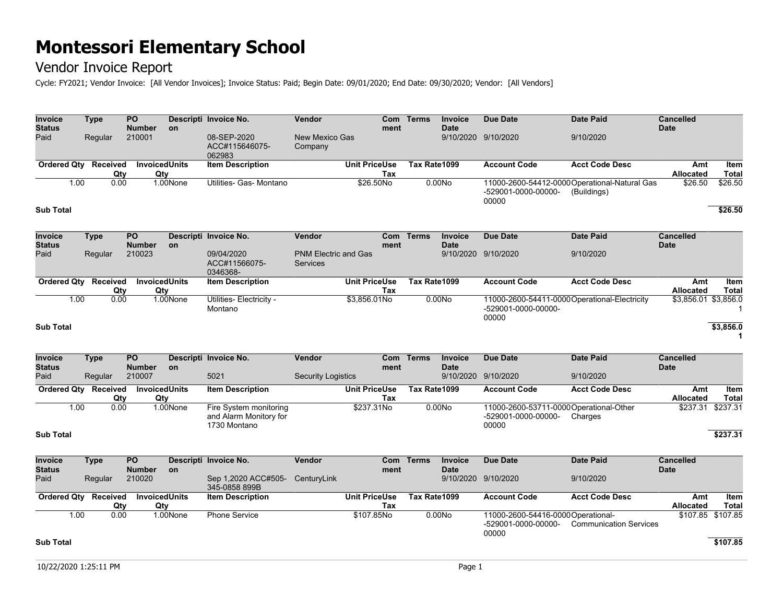### Vendor Invoice Report

Cycle: FY2021; Vendor Invoice: [All Vendor Invoices]; Invoice Status: Paid; Begin Date: 09/01/2020; End Date: 09/30/2020; Vendor: [All Vendors]

| <b>Invoice</b><br><b>Status</b> | <b>Type</b>                 | PO<br><b>Number</b>              | <b>on</b>                   | Descripti Invoice No.                                            | Vendor                                         | Com<br>ment                 | <b>Terms</b> | Invoice<br><b>Date</b>        | <b>Due Date</b>                                                              | <b>Date Paid</b>                                             | <b>Cancelled</b><br><b>Date</b> |                               |
|---------------------------------|-----------------------------|----------------------------------|-----------------------------|------------------------------------------------------------------|------------------------------------------------|-----------------------------|--------------|-------------------------------|------------------------------------------------------------------------------|--------------------------------------------------------------|---------------------------------|-------------------------------|
| Paid                            | Regular                     | 210001                           |                             | 08-SEP-2020<br>ACC#115646075-<br>062983                          | <b>New Mexico Gas</b><br>Company               |                             |              |                               | 9/10/2020 9/10/2020                                                          | 9/10/2020                                                    |                                 |                               |
|                                 | Ordered Qty Received        |                                  | <b>InvoicedUnits</b>        | <b>Item Description</b>                                          |                                                | <b>Unit PriceUse</b>        | Tax Rate1099 |                               | <b>Account Code</b>                                                          | <b>Acct Code Desc</b>                                        | Amt                             | <b>Item</b>                   |
|                                 | Qty                         |                                  | Qtv                         |                                                                  |                                                | Tax                         |              |                               |                                                                              |                                                              | Allocated                       | <b>Total</b>                  |
|                                 | 1.00<br>0.00                |                                  | 1.00None                    | Utilities- Gas- Montano                                          |                                                | \$26.50No                   |              | 0.00N <sub>o</sub>            | -529001-0000-00000-<br>00000                                                 | 11000-2600-54412-0000 Operational-Natural Gas<br>(Buildings) | \$26.50                         | \$26.50                       |
| <b>Sub Total</b>                |                             |                                  |                             |                                                                  |                                                |                             |              |                               |                                                                              |                                                              |                                 | \$26.50                       |
| Invoice                         | <b>Type</b>                 | $\overline{PQ}$                  |                             | Descripti Invoice No.                                            | <b>Vendor</b>                                  | Com                         | <b>Terms</b> | <b>Invoice</b>                | <b>Due Date</b>                                                              | <b>Date Paid</b>                                             | <b>Cancelled</b>                |                               |
| <b>Status</b>                   |                             | <b>Number</b>                    | <b>on</b>                   |                                                                  |                                                | ment                        |              | <b>Date</b>                   |                                                                              |                                                              | <b>Date</b>                     |                               |
| Paid                            | Regular                     | 210023                           |                             | 09/04/2020<br>ACC#11566075-<br>0346368-                          | <b>PNM Electric and Gas</b><br><b>Services</b> |                             |              |                               | 9/10/2020 9/10/2020                                                          | 9/10/2020                                                    |                                 |                               |
|                                 | Ordered Qty Received        |                                  | <b>InvoicedUnits</b>        | <b>Item Description</b>                                          |                                                | <b>Unit PriceUse</b>        | Tax Rate1099 |                               | <b>Account Code</b>                                                          | <b>Acct Code Desc</b>                                        | Amt                             | Item                          |
|                                 | Qty                         | Qty                              |                             |                                                                  |                                                | Tax                         |              |                               |                                                                              |                                                              | Allocated                       | <b>Total</b>                  |
|                                 | 0.00<br>1.00                |                                  | 1.00None                    | Utilities- Electricity -<br>Montano                              |                                                | \$3,856.01No                |              | 0.00N <sub>o</sub>            | 11000-2600-54411-0000Operational-Electricity<br>-529001-0000-00000-<br>00000 |                                                              | \$3,856.01 \$3,856.0            | $\mathbf{1}$                  |
| <b>Sub Total</b>                |                             |                                  |                             |                                                                  |                                                |                             |              |                               |                                                                              |                                                              |                                 | \$3,856.0<br>1                |
| <b>Invoice</b><br><b>Status</b> | <b>Type</b>                 | $\overline{PQ}$<br><b>Number</b> | <b>on</b>                   | Descripti Invoice No.                                            | <b>Vendor</b>                                  | Com<br>ment                 | <b>Terms</b> | Invoice<br><b>Date</b>        | <b>Due Date</b>                                                              | <b>Date Paid</b>                                             | <b>Cancelled</b><br><b>Date</b> |                               |
| Paid                            | Regular                     | 210007                           |                             | 5021                                                             | <b>Security Logistics</b>                      |                             |              |                               | 9/10/2020 9/10/2020                                                          | 9/10/2020                                                    |                                 |                               |
|                                 | Ordered Qty Received<br>Qty | <b>InvoicedUnits</b>             | Qty                         | <b>Item Description</b>                                          |                                                | <b>Unit PriceUse</b><br>Tax | Tax Rate1099 |                               | <b>Account Code</b>                                                          | <b>Acct Code Desc</b>                                        | Amt<br><b>Allocated</b>         | Item<br><b>Total</b>          |
|                                 | 1.00<br>0.00                |                                  | 1.00None                    | Fire System monitoring<br>and Alarm Monitory for<br>1730 Montano |                                                | \$237.31No                  |              | 0.00N <sub>o</sub>            | 11000-2600-53711-0000Operational-Other<br>-529001-0000-00000-<br>00000       | Charges                                                      | \$237.31                        | \$237.31                      |
| <b>Sub Total</b>                |                             |                                  |                             |                                                                  |                                                |                             |              |                               |                                                                              |                                                              |                                 | \$237.31                      |
| Invoice<br><b>Status</b>        | <b>Type</b>                 | $\overline{PQ}$<br><b>Number</b> | <b>on</b>                   | Descripti Invoice No.                                            | Vendor                                         | Com<br>ment                 | <b>Terms</b> | <b>Invoice</b><br><b>Date</b> | <b>Due Date</b>                                                              | <b>Date Paid</b>                                             | <b>Cancelled</b><br><b>Date</b> |                               |
| Paid                            | Regular                     | 210020                           |                             | Sep 1,2020 ACC#505-<br>345-0858 899B                             | CenturyLink                                    |                             |              |                               | 9/10/2020 9/10/2020                                                          | 9/10/2020                                                    |                                 |                               |
|                                 | Ordered Qty Received<br>Qty |                                  | <b>InvoicedUnits</b><br>Qty | <b>Item Description</b>                                          |                                                | <b>Unit PriceUse</b><br>Tax | Tax Rate1099 |                               | <b>Account Code</b>                                                          | <b>Acct Code Desc</b>                                        | Amt<br>Allocated                | <b>Item</b><br><b>Total</b>   |
| <b>Sub Total</b>                | 1.00<br>0.00                |                                  | 1.00None                    | <b>Phone Service</b>                                             |                                                | \$107.85No                  |              | 0.00N <sub>o</sub>            | 11000-2600-54416-0000 Operational-<br>-529001-0000-00000-<br>00000           | <b>Communication Services</b>                                |                                 | \$107.85 \$107.85<br>\$107.85 |
|                                 |                             |                                  |                             |                                                                  |                                                |                             |              |                               |                                                                              |                                                              |                                 |                               |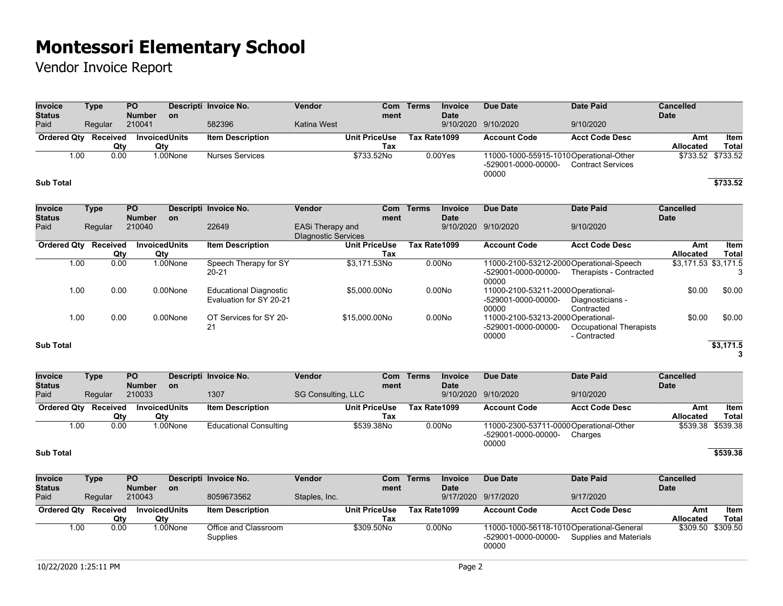## Vendor Invoice Report

| <b>Invoice</b><br><b>Status</b> |      | <b>Type</b>                 | <b>PO</b><br><b>Number</b>  | <b>on</b> | Descripti Invoice No.                                    | Vendor                                         | Com<br>ment                 | <b>Terms</b> | Invoice<br><b>Date</b>   | <b>Due Date</b>                                                          | <b>Date Paid</b>                        | <b>Cancelled</b><br><b>Date</b> |                      |
|---------------------------------|------|-----------------------------|-----------------------------|-----------|----------------------------------------------------------|------------------------------------------------|-----------------------------|--------------|--------------------------|--------------------------------------------------------------------------|-----------------------------------------|---------------------------------|----------------------|
| Paid                            |      | Regular                     | 210041                      |           | 582396                                                   | Katina West                                    |                             |              | 9/10/2020                | 9/10/2020                                                                | 9/10/2020                               |                                 |                      |
| <b>Ordered Qty</b>              |      | Received<br>Qty             | <b>InvoicedUnits</b><br>Qty |           | <b>Item Description</b>                                  |                                                | <b>Unit PriceUse</b><br>Tax | Tax Rate1099 |                          | <b>Account Code</b>                                                      | <b>Acct Code Desc</b>                   | Amt<br><b>Allocated</b>         | Item<br><b>Total</b> |
|                                 | 1.00 | 0.00                        |                             | 1.00None  | <b>Nurses Services</b>                                   |                                                | \$733.52No                  |              | 0.00Yes                  | 11000-1000-55915-1010 Operational-Other<br>-529001-0000-00000-<br>00000  | <b>Contract Services</b>                |                                 | \$733.52 \$733.52    |
| <b>Sub Total</b>                |      |                             |                             |           |                                                          |                                                |                             |              |                          |                                                                          |                                         |                                 | \$733.52             |
| <b>Invoice</b>                  |      | <b>Type</b>                 | <b>PO</b>                   |           | Descripti Invoice No.                                    | Vendor                                         | <b>Com</b>                  | Terms        | <b>Invoice</b>           | <b>Due Date</b>                                                          | <b>Date Paid</b>                        | <b>Cancelled</b>                |                      |
| <b>Status</b><br>Paid           |      | Regular                     | <b>Number</b><br>210040     | <b>on</b> | 22649                                                    | EASi Therapy and<br><b>Dlagnostic Services</b> | ment                        |              | <b>Date</b><br>9/10/2020 | 9/10/2020                                                                | 9/10/2020                               | <b>Date</b>                     |                      |
|                                 |      | Ordered Qty Received<br>Qty | <b>InvoicedUnits</b><br>Qty |           | <b>Item Description</b>                                  |                                                | <b>Unit PriceUse</b><br>Tax | Tax Rate1099 |                          | <b>Account Code</b>                                                      | <b>Acct Code Desc</b>                   | Amt<br>Allocated                | Item<br><b>Total</b> |
|                                 | 1.00 | 0.00                        |                             | 1.00None  | Speech Therapy for SY<br>20-21                           |                                                | \$3,171.53No                |              | 0.00N <sub>o</sub>       | 11000-2100-53212-2000 Operational-Speech<br>-529001-0000-00000-<br>00000 | Therapists - Contracted                 | $$3,171.53$ \$3,171.5           | 3                    |
|                                 | 1.00 | 0.00                        |                             | 0.00None  | <b>Educational Diagnostic</b><br>Evaluation for SY 20-21 |                                                | \$5,000.00No                |              | 0.00No                   | 11000-2100-53211-2000Operational-<br>-529001-0000-00000-<br>00000        | Diagnosticians -<br>Contracted          | \$0.00                          | \$0.00               |
|                                 | 1.00 | 0.00                        |                             | 0.00None  | OT Services for SY 20-<br>21                             |                                                | \$15,000.00No               |              | 0.00No                   | 11000-2100-53213-2000 Operational-<br>-529001-0000-00000-<br>00000       | Occupational Therapists<br>- Contracted | \$0.00                          | \$0.00               |
| <b>Sub Total</b>                |      |                             |                             |           |                                                          |                                                |                             |              |                          |                                                                          |                                         |                                 | \$3,171.5<br>3       |

| <b>Invoice</b><br><b>Status</b> | Type     | <b>PO</b><br><b>Number</b> | <b>on</b> | Descripti Invoice No.         | <b>Vendor</b>        | Com<br>ment | Terms        | Invoice<br><b>Date</b> | Due Date                                                               | Date Paid             | <b>Cancelled</b><br><b>Date</b> |                   |
|---------------------------------|----------|----------------------------|-----------|-------------------------------|----------------------|-------------|--------------|------------------------|------------------------------------------------------------------------|-----------------------|---------------------------------|-------------------|
| Paid                            | Regular  | 210033                     |           | 1307                          | SG Consulting, LLC   |             |              |                        | 9/10/2020 9/10/2020                                                    | 9/10/2020             |                                 |                   |
| <b>Ordered Qty</b>              | Received | InvoicedUnits              |           | <b>Item Description</b>       | <b>Unit PriceUse</b> |             | Tax Rate1099 |                        | <b>Account Code</b>                                                    | <b>Acct Code Desc</b> | Amt                             | Item              |
|                                 | Qty      | Qty                        |           |                               |                      | Tax         |              |                        |                                                                        |                       | <b>Allocated</b>                | Total             |
| 1.00                            | 0.00     |                            | 1.00None  | <b>Educational Consulting</b> | \$539.38No           |             |              | 0.00N <sub>O</sub>     | 11000-2300-53711-0000Operational-Other<br>-529001-0000-00000-<br>00000 | Charges               |                                 | \$539.38 \$539.38 |
| <b>Sub Total</b>                |          |                            |           |                               |                      |             |              |                        |                                                                        |                       |                                 | \$539.38          |

| <b>Invoice</b><br><b>Status</b> | Type     | <b>PO</b><br><b>Number</b> | <b>on</b> | Descripti Invoice No.            | Vendor        | ment                 | Com Terms    | Invoice<br><b>Date</b> | Due Date                     | Date Paid                                                          | <b>Cancelled</b><br><b>Date</b> |                   |
|---------------------------------|----------|----------------------------|-----------|----------------------------------|---------------|----------------------|--------------|------------------------|------------------------------|--------------------------------------------------------------------|---------------------------------|-------------------|
| Paid                            | Regular  | 210043                     |           | 8059673562                       | Staples, Inc. |                      |              |                        | 9/17/2020 9/17/2020          | 9/17/2020                                                          |                                 |                   |
| <b>Ordered Qtv</b>              | Received | <b>InvoicedUnits</b>       |           | <b>Item Description</b>          |               | <b>Unit PriceUse</b> | Tax Rate1099 |                        | <b>Account Code</b>          | <b>Acct Code Desc</b>                                              | Amt                             | Item              |
|                                 | Qtv      | Qty                        |           |                                  |               | Tax                  |              |                        |                              |                                                                    | <b>Allocated</b>                | Total             |
| 1.00                            | 0.00     |                            | l.00None  | Office and Classroom<br>Supplies |               | \$309.50No           |              | 0.00N <sub>O</sub>     | -529001-0000-00000-<br>00000 | 11000-1000-56118-1010Operational-General<br>Supplies and Materials |                                 | \$309.50 \$309.50 |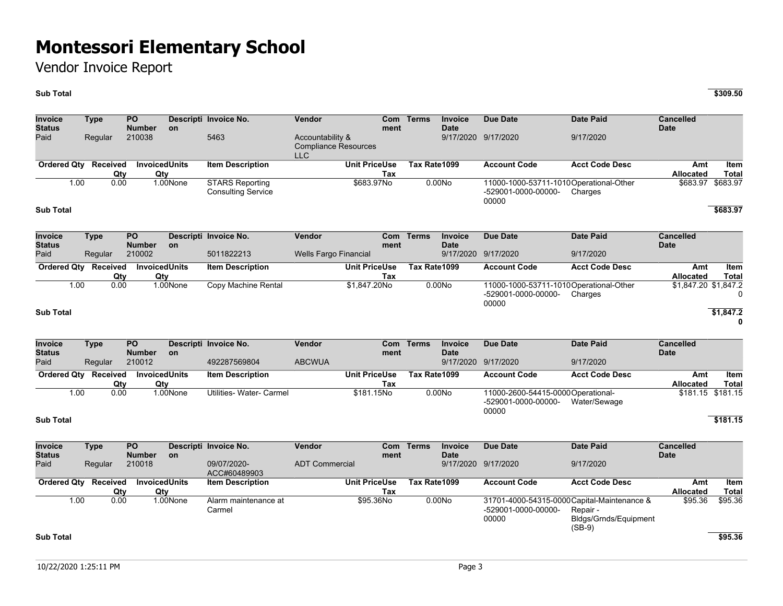Vendor Invoice Report

#### **Sub Total \$309.50**

**Invoice Status Type PO Number Descripti Invoice No. Vendor Com on ment Terms Invoice Date Due Date Date Paid Cancelled Date** Paid Regular 210038 5463 Accountability & Compliance Resources LLC 9/17/2020 9/17/2020 9/17/2020 **Ordered Qty Received Qty**<br>0.00 **Invoiced Units Qty**<br>1.00None **Item Description Unit PriceUse Tax Tax Rate1099 Account Code Acct Code Desc Amt Allocated Item Total** 1.00 0.00 1.00None STARS Reporting Consulting Service \$683.97No 0.00No 11000-1000-53711-1010 Operational-Other -529001-0000-00000- 00000 **Charges** \$683.97 \$683.97 **Sub Total \$683.97 Invoice Status Type PO Number Descripti Invoice No. Vendor Com on ment Terms Invoice Date Due Date Date Paid Cancelled Date** Paid Regular 210002 5011822213 Wells Fargo Financial 9/17/2020 9/17/2020 9/17/2020 **Ordered Qty Received Qty**<br>0.00 **Invoiced Units** Qty<br>1.00None **Item Description Unit PriceUse Tax Tax Rate1099 Account Code Acct Code Desc Amt Allocated Item Total** 1.00 0.00 1.00None Copy Machine Rental \$1,847.20No 0.00No 11000-1000-53711-1010 Operational-Other -529001-0000-00000- 00000 **Charges** \$1,847.20 \$1,847.2  $\Omega$ **Sub Total \$1,847.2 0 Invoice Status Type PO Number Descripti Invoice No. Vendor Com on ment Terms Invoice Date Due Date Date Paid Cancelled Date** Paid Regular 210012 492287569804 ABCWUA 9/17/2020 9/17/2020 9/17/2020

| Ordered Qty Received |      | <b>InvoicedUnits</b> | ltem Description         | <b>Unit PriceUse</b> | Tax Rate1099       | <b>Account Code</b>                                                | <b>Acct Code Desc</b> | Amt       | ltem              |
|----------------------|------|----------------------|--------------------------|----------------------|--------------------|--------------------------------------------------------------------|-----------------------|-----------|-------------------|
|                      | Qtv  | Qtv                  |                          | Tax                  |                    |                                                                    |                       | Allocated | Total             |
| 1.00                 | 0.00 | .00None              | Utilities- Water- Carmel | \$181.15No           | 0.00N <sub>o</sub> | 11000-2600-54415-0000 Operational-<br>-529001-0000-00000-<br>00000 | Water/Sewage          |           | \$181.15 \$181.15 |
| <b>Sub Total</b>     |      |                      |                          |                      |                    |                                                                    |                       |           | \$181.15          |

**Invoice Status Type PO Number Descripti Invoice No. Vendor Com on ment Terms Invoice Date Due Date Date Paid Cancelled Date** Paid Regular 210018 09/07/2020- ACC#60489903 ADT Commercial 9/17/2020 9/17/2020 9/17/2020 **Ordered Qty Received Qty**<br>0.00 **Invoiced Units** Qty<br>1.00None **Item Description Unit PriceUse Tax Tax Rate1099 Account Code Acct Code Desc Amt Allocated Item Total** 1.00 0.00 1.00None Alarm maintenance at Carmel \$95.36No 0.00No 31701-4000-54315-0000 Capital-Maintenance & -529001-0000-00000- 00000 Repair - Bldgs/Grnds/Equipment (SB-9) \$95.36 \$95.36 **Sub Total \$95.36**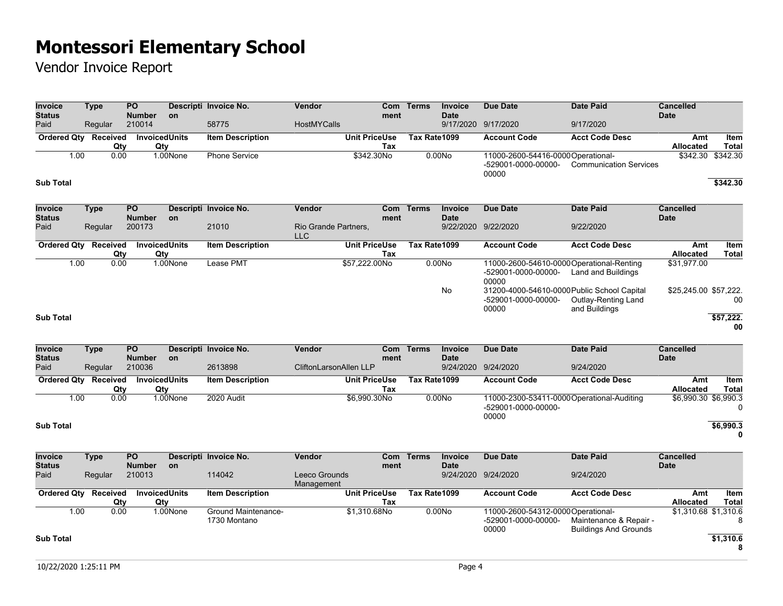## Vendor Invoice Report

| Invoice<br><b>Status</b>        | <b>Type</b> |                 | <b>PO</b><br><b>Number</b> | <b>on</b>                   | Descripti Invoice No.   | Vendor                             |                      | Com<br>ment | <b>Terms</b> | Invoice<br><b>Date</b> | <b>Due Date</b>                                                             | <b>Date Paid</b>                     | <b>Cancelled</b><br><b>Date</b> |                      |
|---------------------------------|-------------|-----------------|----------------------------|-----------------------------|-------------------------|------------------------------------|----------------------|-------------|--------------|------------------------|-----------------------------------------------------------------------------|--------------------------------------|---------------------------------|----------------------|
| Paid                            | Regular     |                 | 210014                     |                             | 58775                   | <b>HostMYCalls</b>                 |                      |             |              | 9/17/2020              | 9/17/2020                                                                   | 9/17/2020                            |                                 |                      |
| <b>Ordered Qty</b>              |             | Received<br>Qty |                            | <b>InvoicedUnits</b><br>Qty | <b>Item Description</b> |                                    | <b>Unit PriceUse</b> | Tax         | Tax Rate1099 |                        | <b>Account Code</b>                                                         | <b>Acct Code Desc</b>                | Amt<br>Allocated                | Item<br><b>Total</b> |
| 1.00                            |             | 0.00            |                            | 1.00None                    | <b>Phone Service</b>    |                                    | \$342.30No           |             |              | 0.00No                 | 11000-2600-54416-0000Operational-<br>-529001-0000-00000-<br>00000           | <b>Communication Services</b>        | \$342.30                        | \$342.30             |
| <b>Sub Total</b>                |             |                 |                            |                             |                         |                                    |                      |             |              |                        |                                                                             |                                      |                                 | \$342.30             |
| <b>Invoice</b><br><b>Status</b> | Type        |                 | <b>PO</b><br><b>Number</b> | <b>on</b>                   | Descripti Invoice No.   | Vendor                             |                      | Com<br>ment | <b>Terms</b> | Invoice<br><b>Date</b> | <b>Due Date</b>                                                             | <b>Date Paid</b>                     | <b>Cancelled</b><br><b>Date</b> |                      |
| Paid                            | Regular     |                 | 200173                     |                             | 21010                   | Rio Grande Partners,<br><b>LLC</b> |                      |             |              | 9/22/2020              | 9/22/2020                                                                   | 9/22/2020                            |                                 |                      |
| <b>Ordered Qty</b>              |             | Received<br>Qty |                            | <b>InvoicedUnits</b><br>Qty | <b>Item Description</b> |                                    | <b>Unit PriceUse</b> | Tax         | Tax Rate1099 |                        | <b>Account Code</b>                                                         | <b>Acct Code Desc</b>                | Amt<br>Allocated                | Item<br><b>Total</b> |
| 1.00                            |             | 0.00            |                            | 1.00None                    | Lease PMT               |                                    | \$57,222.00No        |             |              | 0.00N <sub>o</sub>     | 11000-2600-54610-0000 Operational-Renting<br>-529001-0000-00000-<br>00000   | Land and Buildings                   | \$31,977.00                     |                      |
|                                 |             |                 |                            |                             |                         |                                    |                      |             |              | No                     | 31200-4000-54610-0000 Public School Capital<br>-529001-0000-00000-<br>00000 | Outlay-Renting Land<br>and Buildings | \$25,245.00 \$57,222.           | -00                  |
| <b>Sub Total</b>                |             |                 |                            |                             |                         |                                    |                      |             |              |                        |                                                                             |                                      |                                 | \$57,222.<br>00      |

| <b>Invoice</b><br><b>Status</b><br>Paid | Type<br>Regular | <b>PO</b><br><b>Number</b><br>210036 | on.      | Descripti Invoice No.<br>2613898 | <b>Vendor</b><br>CliftonLarsonAllen LLP | Com<br>ment | Terms        | <b>Invoice</b><br><b>Date</b> | Due Date<br>9/24/2020 9/24/2020 | Date Paid<br>9/24/2020                     | <b>Cancelled</b><br><b>Date</b> |               |
|-----------------------------------------|-----------------|--------------------------------------|----------|----------------------------------|-----------------------------------------|-------------|--------------|-------------------------------|---------------------------------|--------------------------------------------|---------------------------------|---------------|
| <b>Ordered Qty</b>                      | Received<br>Qty | InvoicedUnits<br>Qtv                 |          | <b>Item Description</b>          | <b>Unit PriceUse</b>                    | Tax         | Tax Rate1099 |                               | <b>Account Code</b>             | <b>Acct Code Desc</b>                      | Amt<br><b>Allocated</b>         | Item<br>Total |
| 1.00                                    | 0.00            |                                      | 1.00None | 2020 Audit                       | \$6.990.30No                            |             |              | 0.00N <sub>O</sub>            | -529001-0000-00000-<br>00000    | 11000-2300-53411-0000 Operational-Auditing | \$6,990.30 \$6,990.3            |               |
| <b>Sub Total</b>                        |                 |                                      |          |                                  |                                         |             |              |                               |                                 |                                            |                                 | \$6,990.3     |

**0**

| <b>Invoice</b><br><b>Status</b> | Type            | <b>PO</b><br><b>Number</b> | <b>on</b> | Descripti Invoice No.      | <b>Vendor</b>               | ment                 | Com Terms    | <b>Invoice</b><br><b>Date</b> | Due Date                           | Date Paid                    | <b>Cancelled</b><br><b>Date</b> |             |
|---------------------------------|-----------------|----------------------------|-----------|----------------------------|-----------------------------|----------------------|--------------|-------------------------------|------------------------------------|------------------------------|---------------------------------|-------------|
| Paid                            | Regular         | 210013                     |           | 114042                     | Leeco Grounds<br>Management |                      |              |                               | 9/24/2020 9/24/2020                | 9/24/2020                    |                                 |             |
| <b>Ordered Qtv</b>              | <b>Received</b> | <b>InvoicedUnits</b>       |           | <b>Item Description</b>    |                             | <b>Unit PriceUse</b> | Tax Rate1099 |                               | <b>Account Code</b>                | <b>Acct Code Desc</b>        | Amt                             | <b>Item</b> |
|                                 | Qty             | Qty                        |           |                            |                             | Tax                  |              |                               |                                    |                              | <b>Allocated</b>                | Total       |
| 1.00                            | 0.00            |                            | l.00None  | <b>Ground Maintenance-</b> |                             | \$1.310.68No         |              | 0.00N <sub>o</sub>            | 11000-2600-54312-0000 Operational- |                              | \$1,310.68 \$1,310.6            |             |
|                                 |                 |                            |           | 1730 Montano               |                             |                      |              |                               | -529001-0000-00000-                | Maintenance & Repair -       |                                 |             |
|                                 |                 |                            |           |                            |                             |                      |              |                               | 00000                              | <b>Buildings And Grounds</b> |                                 |             |
| <b>Sub Total</b>                |                 |                            |           |                            |                             |                      |              |                               |                                    |                              |                                 | \$1,310.6   |
|                                 |                 |                            |           |                            |                             |                      |              |                               |                                    |                              |                                 |             |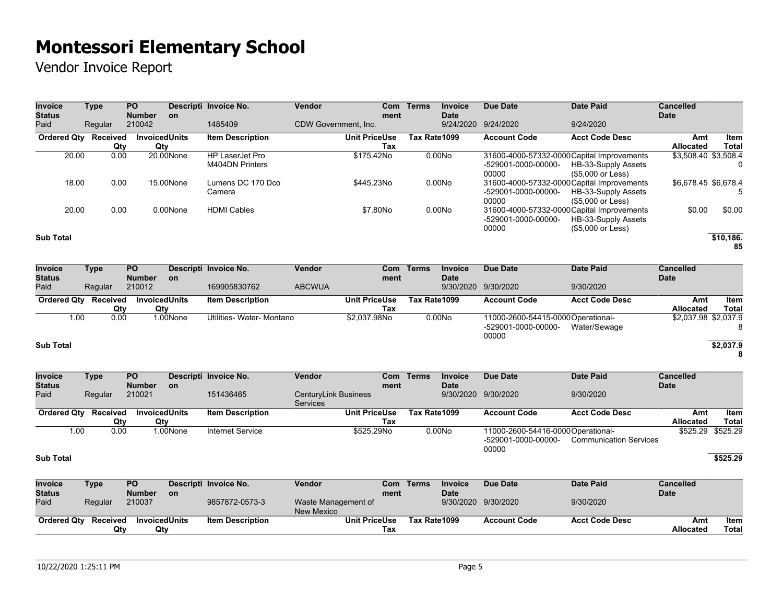Vendor Invoice Report

| <b>Invoice</b><br><b>Status</b> | Type            | PO.<br><b>Number</b>        | <b>on</b> | Descripti Invoice No.              | <b>Vendor</b>        | Com<br>ment                 | <b>Terms</b> | <b>Invoice</b><br><b>Date</b> | Due Date                                                                   | <b>Date Paid</b>                         | <b>Cancelled</b><br><b>Date</b> |                             |
|---------------------------------|-----------------|-----------------------------|-----------|------------------------------------|----------------------|-----------------------------|--------------|-------------------------------|----------------------------------------------------------------------------|------------------------------------------|---------------------------------|-----------------------------|
| Paid                            | Regular         | 210042                      |           | 1485409                            | CDW Government. Inc. |                             |              | 9/24/2020                     | 9/24/2020                                                                  | 9/24/2020                                |                                 |                             |
| <b>Ordered Qty</b>              | Received<br>Qty | <b>InvoicedUnits</b><br>Qty |           | <b>Item Description</b>            |                      | <b>Unit PriceUse</b><br>Tax | Tax Rate1099 |                               | <b>Account Code</b>                                                        | <b>Acct Code Desc</b>                    | Amt<br>Allocated                | <b>Item</b><br><b>Total</b> |
| 20.00                           | 0.00            |                             | 20.00None | HP LaserJet Pro<br>M404DN Printers |                      | \$175.42No                  |              | 0.00N <sub>O</sub>            | 31600-4000-57332-0000 Capital Improvements<br>-529001-0000-00000-<br>00000 | HB-33-Supply Assets<br>(\$5,000 or Less) | \$3,508.40 \$3,508.4            |                             |
| 18.00                           | 0.00            |                             | 15.00None | Lumens DC 170 Dco<br>Camera        |                      | \$445.23No                  |              | 0.00N <sub>O</sub>            | 31600-4000-57332-0000 Capital Improvements<br>-529001-0000-00000-<br>00000 | HB-33-Supply Assets<br>(\$5,000 or Less) | \$6,678.45 \$6,678.4            |                             |
| 20.00                           | 0.00            |                             | 0.00None  | <b>HDMI Cables</b>                 |                      | \$7.80No                    |              | 0.00No                        | 31600-4000-57332-0000 Capital Improvements<br>-529001-0000-00000-<br>00000 | HB-33-Supply Assets<br>(\$5,000 or Less) | \$0.00                          | \$0.00                      |
| <b>Sub Total</b>                |                 |                             |           |                                    |                      |                             |              |                               |                                                                            |                                          |                                 | \$10,186.<br>85             |

| <b>Invoice</b><br>Status | Type     | <b>PO</b><br><b>Number</b> | on.      | Descripti Invoice No.     | <b>Vendor</b> | Com<br>ment          | Terms        | <b>Invoice</b><br><b>Date</b> | Due Date                                                           | <b>Date Paid</b>      | <b>Cancelled</b><br><b>Date</b> |                |
|--------------------------|----------|----------------------------|----------|---------------------------|---------------|----------------------|--------------|-------------------------------|--------------------------------------------------------------------|-----------------------|---------------------------------|----------------|
| Paid                     | Regular  | 210012                     |          | 169905830762              | <b>ABCWUA</b> |                      |              |                               | 9/30/2020 9/30/2020                                                | 9/30/2020             |                                 |                |
| <b>Ordered Qtv</b>       | Received | InvoicedUnits              |          | <b>Item Description</b>   |               | <b>Unit PriceUse</b> | Tax Rate1099 |                               | <b>Account Code</b>                                                | <b>Acct Code Desc</b> | Amt                             | Item           |
|                          | Qty      | Qty                        |          |                           |               | Tax                  |              |                               |                                                                    |                       | <b>Allocated</b>                | Total          |
| 1.00                     | 0.00     |                            | 1.00None | Utilities- Water- Montano |               | \$2.037.98No         |              | 0.00N <sub>o</sub>            | 11000-2600-54415-0000 Operational-<br>-529001-0000-00000-<br>00000 | Water/Sewage          | \$2,037.98 \$2,037.9            | 8              |
| <b>Sub Total</b>         |          |                            |          |                           |               |                      |              |                               |                                                                    |                       |                                 | \$2,037.9<br>8 |

| <b>Invoice</b> | Type | <b>PO</b> |  |
|----------------|------|-----------|--|

| <b>Invoice</b><br><b>Status</b> | Type     | <b>PO</b><br><b>Number</b> | on.      | Descripti Invoice No.   | Vendor                                  | Com<br>ment | <b>Terms</b> | <b>Invoice</b><br><b>Date</b> | Due Date                                                          | Date Paid                     | Cancelled<br><b>Date</b> |                   |
|---------------------------------|----------|----------------------------|----------|-------------------------|-----------------------------------------|-------------|--------------|-------------------------------|-------------------------------------------------------------------|-------------------------------|--------------------------|-------------------|
| Paid                            | Regular  | 210021                     |          | 151436465               | CenturyLink Business<br><b>Services</b> |             |              |                               | 9/30/2020 9/30/2020                                               | 9/30/2020                     |                          |                   |
| <b>Ordered Qty</b>              | Received | InvoicedUnits              |          | <b>Item Description</b> | <b>Unit PriceUse</b>                    |             | Tax Rate1099 |                               | <b>Account Code</b>                                               | <b>Acct Code Desc</b>         | Amt                      | Item              |
|                                 | Qty      | Qty                        |          |                         |                                         | Tax         |              |                               |                                                                   |                               | <b>Allocated</b>         | Total             |
| 1.00                            | 0.00     |                            | 1.00None | Internet Service        | \$525.29No                              |             |              | 0.00N <sub>O</sub>            | 11000-2600-54416-0000Operational-<br>-529001-0000-00000-<br>00000 | <b>Communication Services</b> |                          | \$525.29 \$525.29 |
| <b>Sub Total</b>                |          |                            |          |                         |                                         |             |              |                               |                                                                   |                               |                          | \$525.29          |

| <b>Invoice</b>     | Type     | <b>PO</b>            |           | Descripti Invoice No. | <b>Vendor</b>        | Com  | Terms        | Invoice     | Due Date            | Date Paid             | <b>Cancelled</b> |       |
|--------------------|----------|----------------------|-----------|-----------------------|----------------------|------|--------------|-------------|---------------------|-----------------------|------------------|-------|
| <b>Status</b>      |          | <b>Number</b>        | <b>on</b> |                       |                      | ment |              | <b>Date</b> |                     |                       | <b>Date</b>      |       |
| Paid               | Regular  | 210037               |           | 9857872-0573-3        | Waste Management of  |      |              |             | 9/30/2020 9/30/2020 | 9/30/2020             |                  |       |
|                    |          |                      |           |                       | New Mexico           |      |              |             |                     |                       |                  |       |
| <b>Ordered Qty</b> | Received | <b>InvoicedUnits</b> |           | ltem Description      | <b>Unit PriceUse</b> |      | Tax Rate1099 |             | <b>Account Code</b> | <b>Acct Code Desc</b> | Amt              | ltem  |
|                    | Qtv      | Qty                  |           |                       |                      | Tax  |              |             |                     |                       | <b>Allocated</b> | Total |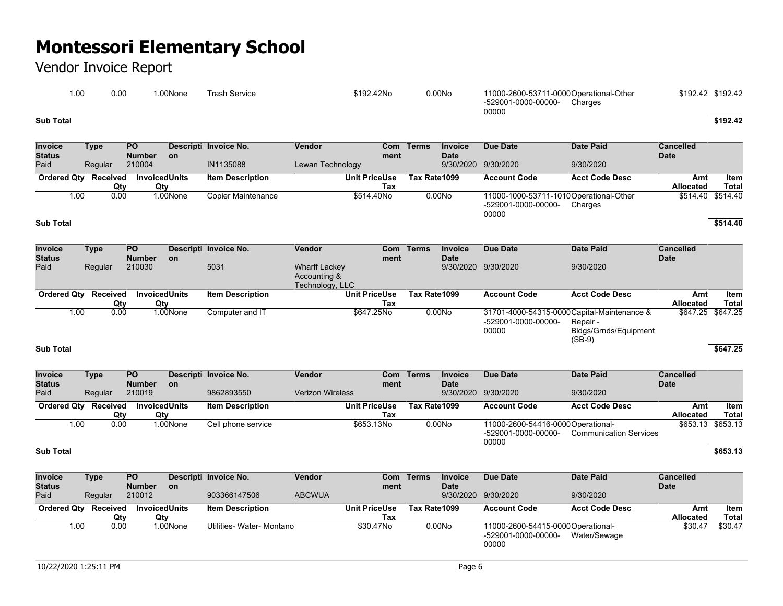## Vendor Invoice Report

| .00       | 0.00 | .00None | Trash Service | \$192.42No | 0.00N <sub>O</sub> | 11000-2600-53711-0000Operational-Other<br>-529001-0000-00000-<br>Charges<br>00000 | \$192.42 \$192.42 |
|-----------|------|---------|---------------|------------|--------------------|-----------------------------------------------------------------------------------|-------------------|
| Sub Total |      |         |               |            |                    |                                                                                   | \$192.42          |

| <b>Invoice</b><br><b>Status</b> | Type          | <b>PO</b><br><b>Number</b> | <b>on</b> | Descripti Invoice No.     | Vendor               | ment | Com Terms    | Invoice<br><b>Date</b> | Due Date                               | Date Paid             | <b>Cancelled</b><br><b>Date</b> |                   |
|---------------------------------|---------------|----------------------------|-----------|---------------------------|----------------------|------|--------------|------------------------|----------------------------------------|-----------------------|---------------------------------|-------------------|
| Paid                            | Regular       | 210004                     |           | IN1135088                 | Lewan Technology     |      |              |                        | 9/30/2020 9/30/2020                    | 9/30/2020             |                                 |                   |
| <b>Ordered Qtv</b>              | Received      | <b>InvoicedUnits</b>       |           | <b>Item Description</b>   | <b>Unit PriceUse</b> |      | Tax Rate1099 |                        | <b>Account Code</b>                    | <b>Acct Code Desc</b> | Amt                             | Item              |
|                                 | Qtv           | Qtv                        |           |                           |                      | Tax  |              |                        |                                        |                       | <b>Allocated</b>                | <b>Total</b>      |
|                                 | 0.00<br>00. ا |                            | 1.00None  | <b>Copier Maintenance</b> | \$514.40No           |      |              | 0.00N <sub>O</sub>     | 11000-1000-53711-1010Operational-Other |                       |                                 | \$514.40 \$514.40 |
|                                 |               |                            |           |                           |                      |      |              |                        | -529001-0000-00000-                    | Charges               |                                 |                   |
|                                 |               |                            |           |                           |                      |      |              |                        | 00000                                  |                       |                                 |                   |

#### **Sub Total \$514.40**

| <b>Invoice</b><br><b>Status</b> | Type     | <b>PO</b><br><b>Number</b> | <b>on</b> | Descripti Invoice No.   | Vendor                                                  | Com<br>ment          | Terms        | <b>Invoice</b><br><b>Date</b> | Due Date                     | Date Paid                                                                                           | <b>Cancelled</b><br><b>Date</b> |                   |
|---------------------------------|----------|----------------------------|-----------|-------------------------|---------------------------------------------------------|----------------------|--------------|-------------------------------|------------------------------|-----------------------------------------------------------------------------------------------------|---------------------------------|-------------------|
| Paid                            | Regular  | 210030                     |           | 5031                    | <b>Wharff Lackey</b><br>Accounting &<br>Technology, LLC |                      |              |                               | 9/30/2020 9/30/2020          | 9/30/2020                                                                                           |                                 |                   |
| <b>Ordered Qty</b>              | Received | <b>InvoicedUnits</b>       |           | <b>Item Description</b> |                                                         | <b>Unit PriceUse</b> | Tax Rate1099 |                               | <b>Account Code</b>          | <b>Acct Code Desc</b>                                                                               | Amt                             | Item              |
|                                 | Qty      | Qty                        |           |                         |                                                         | Tax                  |              |                               |                              |                                                                                                     | <b>Allocated</b>                | <b>Total</b>      |
| 1.00                            | 0.00     |                            | 1.00None  | Computer and IT         |                                                         | \$647.25No           |              | 0.00N <sub>o</sub>            | -529001-0000-00000-<br>00000 | 31701-4000-54315-0000 Capital-Maintenance &<br>Repair -<br><b>Bldgs/Grnds/Equipment</b><br>$(SB-9)$ |                                 | \$647.25 \$647.25 |
| <b>Sub Total</b>                |          |                            |           |                         |                                                         |                      |              |                               |                              |                                                                                                     |                                 | \$647.25          |

| <b>Invoice</b><br><b>Status</b> | Type     | <b>PO</b><br><b>Number</b> | <b>on</b> | Descripti Invoice No.   | Vendor                  | ment                 | Com Terms    | <b>Invoice</b><br><b>Date</b> | Due Date                           | Date Paid                     | <b>Cancelled</b><br><b>Date</b> |       |
|---------------------------------|----------|----------------------------|-----------|-------------------------|-------------------------|----------------------|--------------|-------------------------------|------------------------------------|-------------------------------|---------------------------------|-------|
| Paid                            | Regular  | 210019                     |           | 9862893550              | <b>Verizon Wireless</b> |                      |              |                               | 9/30/2020 9/30/2020                | 9/30/2020                     |                                 |       |
| <b>Ordered Qtv</b>              | Received | InvoicedUnits              |           | <b>Item Description</b> |                         | <b>Unit PriceUse</b> | Tax Rate1099 |                               | <b>Account Code</b>                | <b>Acct Code Desc</b>         | Amt                             | Item  |
|                                 | Qty      | Qty                        |           |                         |                         | Tax                  |              |                               |                                    |                               | <b>Allocated</b>                | Total |
| 1.00                            | 0.00     |                            | 1.00None  | Cell phone service      |                         | \$653.13No           |              | 0.00No                        | 11000-2600-54416-0000 Operational- |                               | \$653.13 \$653.13               |       |
|                                 |          |                            |           |                         |                         |                      |              |                               | -529001-0000-00000-                | <b>Communication Services</b> |                                 |       |
|                                 |          |                            |           |                         |                         |                      |              |                               | 00000                              |                               |                                 |       |

#### **Sub Total \$653.13**

| <b>Invoice</b>     | Type     | <b>PO</b>     |           | Descripti Invoice No.     | Vendor        | Com                  | Terms        | <b>Invoice</b>     | Due Date                                                           | Date Paid             | Cancelled        |         |
|--------------------|----------|---------------|-----------|---------------------------|---------------|----------------------|--------------|--------------------|--------------------------------------------------------------------|-----------------------|------------------|---------|
| <b>Status</b>      |          | <b>Number</b> | <b>on</b> |                           |               | ment                 |              | <b>Date</b>        |                                                                    |                       | <b>Date</b>      |         |
| Paid               | Regular  | 210012        |           | 903366147506              | <b>ABCWUA</b> |                      |              |                    | 9/30/2020 9/30/2020                                                | 9/30/2020             |                  |         |
| <b>Ordered Qtv</b> | Received | InvoicedUnits |           | <b>Item Description</b>   |               | <b>Unit PriceUse</b> | Tax Rate1099 |                    | <b>Account Code</b>                                                | <b>Acct Code Desc</b> | Amt              | ltem    |
|                    | Qtv      | Qty           |           |                           |               | Tax                  |              |                    |                                                                    |                       | <b>Allocated</b> | Total   |
| 1.00               | 0.00     |               | 1.00None  | Utilities- Water- Montano |               | \$30.47No            |              | 0.00N <sub>o</sub> | 11000-2600-54415-0000 Operational-<br>-529001-0000-00000-<br>00000 | Water/Sewage          | \$30.47          | \$30.47 |